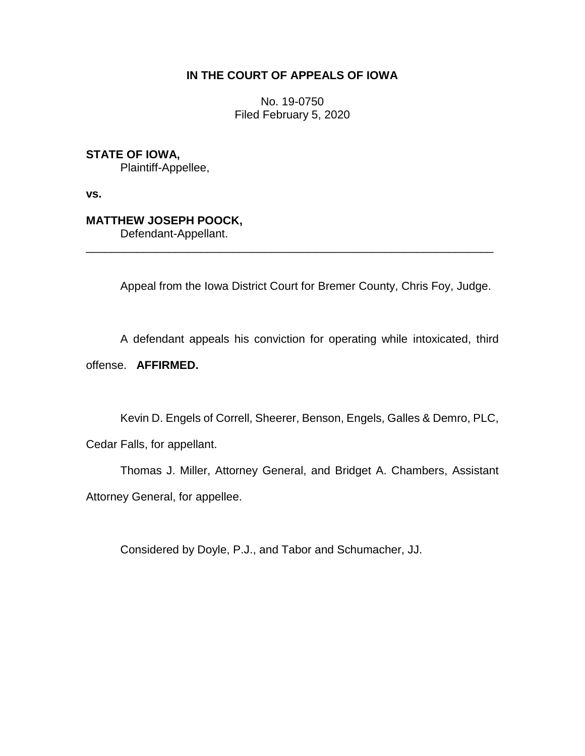## **IN THE COURT OF APPEALS OF IOWA**

No. 19-0750 Filed February 5, 2020

**STATE OF IOWA,**

Plaintiff-Appellee,

**vs.**

# **MATTHEW JOSEPH POOCK,**

Defendant-Appellant.

Appeal from the Iowa District Court for Bremer County, Chris Foy, Judge.

\_\_\_\_\_\_\_\_\_\_\_\_\_\_\_\_\_\_\_\_\_\_\_\_\_\_\_\_\_\_\_\_\_\_\_\_\_\_\_\_\_\_\_\_\_\_\_\_\_\_\_\_\_\_\_\_\_\_\_\_\_\_\_\_

A defendant appeals his conviction for operating while intoxicated, third

offense. **AFFIRMED.**

Kevin D. Engels of Correll, Sheerer, Benson, Engels, Galles & Demro, PLC,

Cedar Falls, for appellant.

Thomas J. Miller, Attorney General, and Bridget A. Chambers, Assistant Attorney General, for appellee.

Considered by Doyle, P.J., and Tabor and Schumacher, JJ.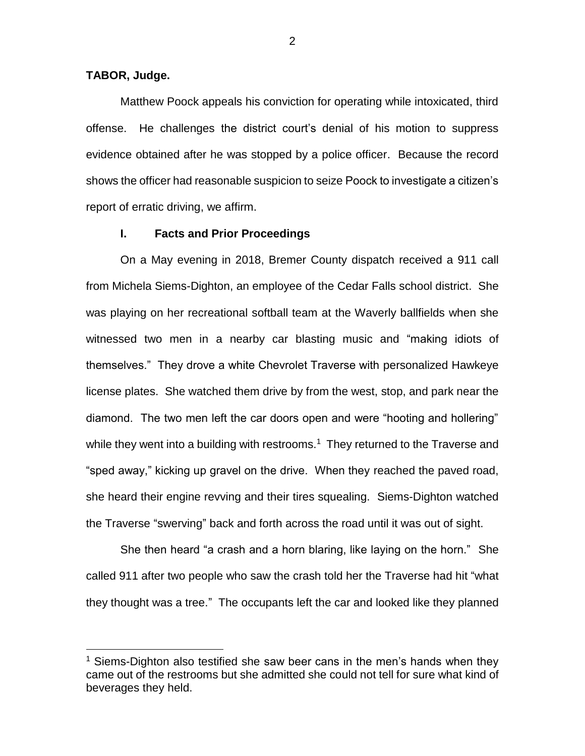## **TABOR, Judge.**

 $\overline{a}$ 

Matthew Poock appeals his conviction for operating while intoxicated, third offense. He challenges the district court's denial of his motion to suppress evidence obtained after he was stopped by a police officer. Because the record shows the officer had reasonable suspicion to seize Poock to investigate a citizen's report of erratic driving, we affirm.

## **I. Facts and Prior Proceedings**

On a May evening in 2018, Bremer County dispatch received a 911 call from Michela Siems-Dighton, an employee of the Cedar Falls school district. She was playing on her recreational softball team at the Waverly ballfields when she witnessed two men in a nearby car blasting music and "making idiots of themselves." They drove a white Chevrolet Traverse with personalized Hawkeye license plates. She watched them drive by from the west, stop, and park near the diamond. The two men left the car doors open and were "hooting and hollering" while they went into a building with restrooms.<sup>1</sup> They returned to the Traverse and "sped away," kicking up gravel on the drive. When they reached the paved road, she heard their engine revving and their tires squealing. Siems-Dighton watched the Traverse "swerving" back and forth across the road until it was out of sight.

She then heard "a crash and a horn blaring, like laying on the horn." She called 911 after two people who saw the crash told her the Traverse had hit "what they thought was a tree." The occupants left the car and looked like they planned

<sup>&</sup>lt;sup>1</sup> Siems-Dighton also testified she saw beer cans in the men's hands when they came out of the restrooms but she admitted she could not tell for sure what kind of beverages they held.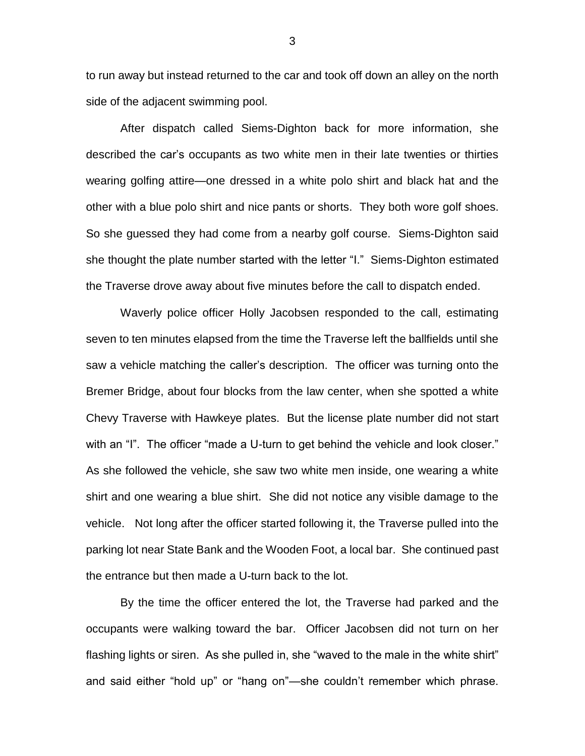to run away but instead returned to the car and took off down an alley on the north side of the adjacent swimming pool.

After dispatch called Siems-Dighton back for more information, she described the car's occupants as two white men in their late twenties or thirties wearing golfing attire—one dressed in a white polo shirt and black hat and the other with a blue polo shirt and nice pants or shorts. They both wore golf shoes. So she guessed they had come from a nearby golf course. Siems-Dighton said she thought the plate number started with the letter "I." Siems-Dighton estimated the Traverse drove away about five minutes before the call to dispatch ended.

Waverly police officer Holly Jacobsen responded to the call, estimating seven to ten minutes elapsed from the time the Traverse left the ballfields until she saw a vehicle matching the caller's description. The officer was turning onto the Bremer Bridge, about four blocks from the law center, when she spotted a white Chevy Traverse with Hawkeye plates. But the license plate number did not start with an "I". The officer "made a U-turn to get behind the vehicle and look closer." As she followed the vehicle, she saw two white men inside, one wearing a white shirt and one wearing a blue shirt. She did not notice any visible damage to the vehicle. Not long after the officer started following it, the Traverse pulled into the parking lot near State Bank and the Wooden Foot, a local bar. She continued past the entrance but then made a U-turn back to the lot.

By the time the officer entered the lot, the Traverse had parked and the occupants were walking toward the bar. Officer Jacobsen did not turn on her flashing lights or siren. As she pulled in, she "waved to the male in the white shirt" and said either "hold up" or "hang on"—she couldn't remember which phrase.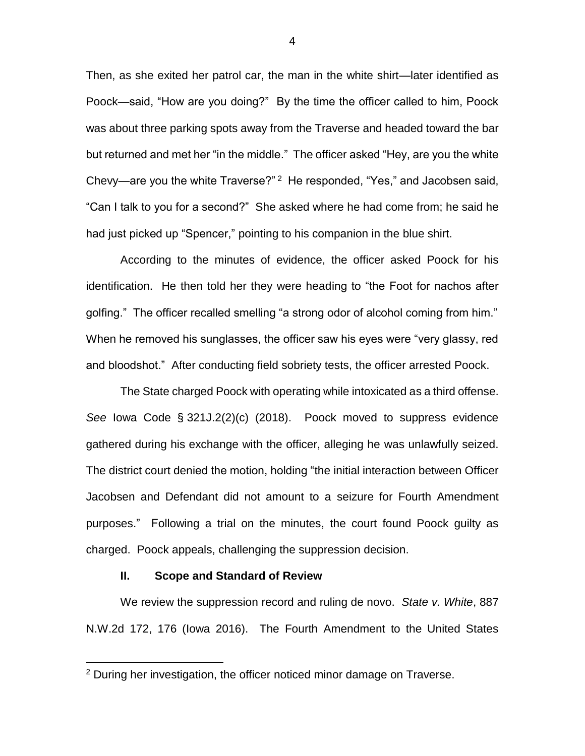Then, as she exited her patrol car, the man in the white shirt—later identified as Poock—said, "How are you doing?" By the time the officer called to him, Poock was about three parking spots away from the Traverse and headed toward the bar but returned and met her "in the middle." The officer asked "Hey, are you the white Chevy—are you the white Traverse?" <sup>2</sup> He responded, "Yes," and Jacobsen said, "Can I talk to you for a second?" She asked where he had come from; he said he had just picked up "Spencer," pointing to his companion in the blue shirt.

According to the minutes of evidence, the officer asked Poock for his identification. He then told her they were heading to "the Foot for nachos after golfing." The officer recalled smelling "a strong odor of alcohol coming from him." When he removed his sunglasses, the officer saw his eyes were "very glassy, red and bloodshot." After conducting field sobriety tests, the officer arrested Poock.

The State charged Poock with operating while intoxicated as a third offense. *See* Iowa Code § 321J.2(2)(c) (2018). Poock moved to suppress evidence gathered during his exchange with the officer, alleging he was unlawfully seized. The district court denied the motion, holding "the initial interaction between Officer Jacobsen and Defendant did not amount to a seizure for Fourth Amendment purposes." Following a trial on the minutes, the court found Poock guilty as charged. Poock appeals, challenging the suppression decision.

## **II. Scope and Standard of Review**

 $\overline{a}$ 

We review the suppression record and ruling de novo. *State v. White*, 887 N.W.2d 172, 176 (Iowa 2016). The Fourth Amendment to the United States

<sup>&</sup>lt;sup>2</sup> During her investigation, the officer noticed minor damage on Traverse.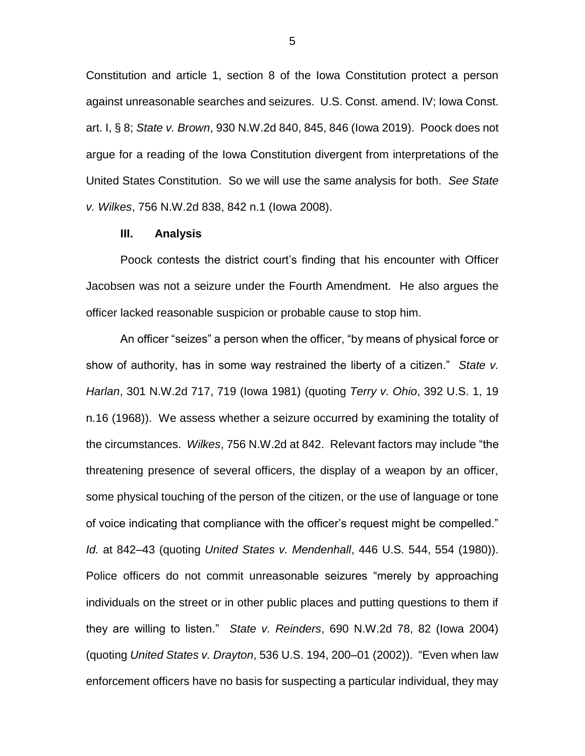Constitution and article 1, section 8 of the Iowa Constitution protect a person against unreasonable searches and seizures. U.S. Const. amend. IV; Iowa Const. art. I, § 8; *State v. Brown*, 930 N.W.2d 840, 845, 846 (Iowa 2019). Poock does not argue for a reading of the Iowa Constitution divergent from interpretations of the United States Constitution. So we will use the same analysis for both. *See State v. Wilkes*, 756 N.W.2d 838, 842 n.1 (Iowa 2008).

## **III. Analysis**

Poock contests the district court's finding that his encounter with Officer Jacobsen was not a seizure under the Fourth Amendment. He also argues the officer lacked reasonable suspicion or probable cause to stop him.

An officer "seizes" a person when the officer, "by means of physical force or show of authority, has in some way restrained the liberty of a citizen." *State v. Harlan*, 301 N.W.2d 717, 719 (Iowa 1981) (quoting *Terry v. Ohio*, 392 U.S. 1, 19 n.16 (1968)). We assess whether a seizure occurred by examining the totality of the circumstances. *Wilkes*, 756 N.W.2d at 842. Relevant factors may include "the threatening presence of several officers, the display of a weapon by an officer, some physical touching of the person of the citizen, or the use of language or tone of voice indicating that compliance with the officer's request might be compelled." *Id.* at 842–43 (quoting *United States v. Mendenhall*, 446 U.S. 544, 554 (1980)). Police officers do not commit unreasonable seizures "merely by approaching individuals on the street or in other public places and putting questions to them if they are willing to listen." *State v. Reinders*, 690 N.W.2d 78, 82 (Iowa 2004) (quoting *United States v. Drayton*, 536 U.S. 194, 200–01 (2002)). "Even when law enforcement officers have no basis for suspecting a particular individual, they may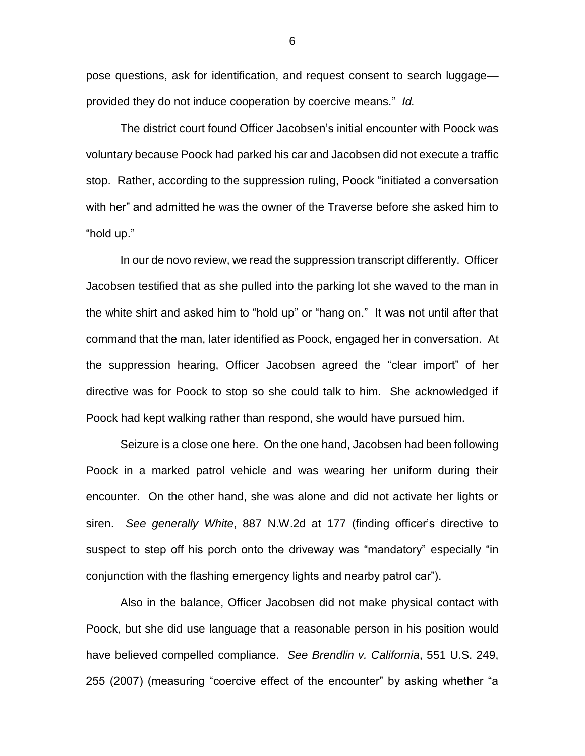pose questions, ask for identification, and request consent to search luggage provided they do not induce cooperation by coercive means." *Id.*

The district court found Officer Jacobsen's initial encounter with Poock was voluntary because Poock had parked his car and Jacobsen did not execute a traffic stop. Rather, according to the suppression ruling, Poock "initiated a conversation with her" and admitted he was the owner of the Traverse before she asked him to "hold up."

In our de novo review, we read the suppression transcript differently. Officer Jacobsen testified that as she pulled into the parking lot she waved to the man in the white shirt and asked him to "hold up" or "hang on." It was not until after that command that the man, later identified as Poock, engaged her in conversation. At the suppression hearing, Officer Jacobsen agreed the "clear import" of her directive was for Poock to stop so she could talk to him. She acknowledged if Poock had kept walking rather than respond, she would have pursued him.

Seizure is a close one here. On the one hand, Jacobsen had been following Poock in a marked patrol vehicle and was wearing her uniform during their encounter. On the other hand, she was alone and did not activate her lights or siren. *See generally White*, 887 N.W.2d at 177 (finding officer's directive to suspect to step off his porch onto the driveway was "mandatory" especially "in conjunction with the flashing emergency lights and nearby patrol car").

Also in the balance, Officer Jacobsen did not make physical contact with Poock, but she did use language that a reasonable person in his position would have believed compelled compliance. *See Brendlin v. California*, 551 U.S. 249, 255 (2007) (measuring "coercive effect of the encounter" by asking whether "a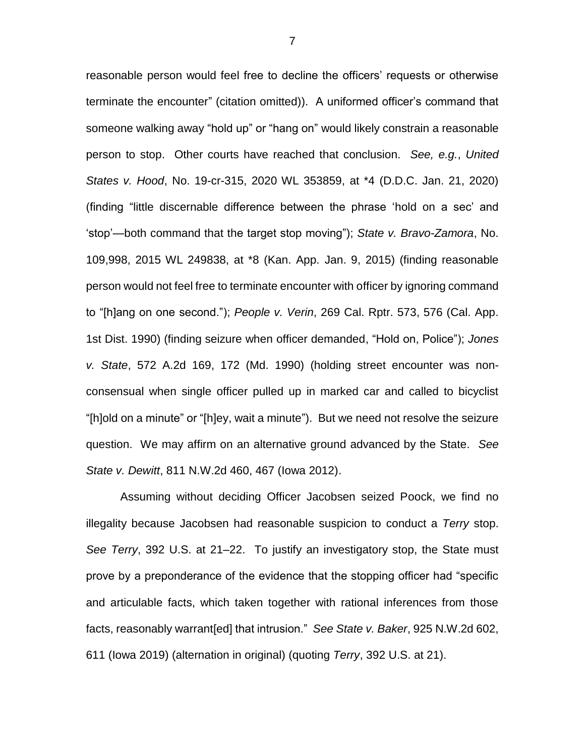reasonable person would feel free to decline the officers' requests or otherwise terminate the encounter" (citation omitted)). A uniformed officer's command that someone walking away "hold up" or "hang on" would likely constrain a reasonable person to stop. Other courts have reached that conclusion. *See, e.g.*, *United States v. Hood*, No. 19-cr-315, 2020 WL 353859, at \*4 (D.D.C. Jan. 21, 2020) (finding "little discernable difference between the phrase 'hold on a sec' and 'stop'—both command that the target stop moving"); *State v. Bravo-Zamora*, No. 109,998, 2015 WL 249838, at \*8 (Kan. App. Jan. 9, 2015) (finding reasonable person would not feel free to terminate encounter with officer by ignoring command to "[h]ang on one second."); *People v. Verin*, 269 Cal. Rptr. 573, 576 (Cal. App. 1st Dist. 1990) (finding seizure when officer demanded, "Hold on, Police"); *Jones v. State*, 572 A.2d 169, 172 (Md. 1990) (holding street encounter was nonconsensual when single officer pulled up in marked car and called to bicyclist "[h]old on a minute" or "[h]ey, wait a minute"). But we need not resolve the seizure question. We may affirm on an alternative ground advanced by the State. *See State v. Dewitt*, 811 N.W.2d 460, 467 (Iowa 2012).

Assuming without deciding Officer Jacobsen seized Poock, we find no illegality because Jacobsen had reasonable suspicion to conduct a *Terry* stop. *See Terry*, 392 U.S. at 21–22. To justify an investigatory stop, the State must prove by a preponderance of the evidence that the stopping officer had "specific and articulable facts, which taken together with rational inferences from those facts, reasonably warrant[ed] that intrusion." *See State v. Baker*, 925 N.W.2d 602, 611 (Iowa 2019) (alternation in original) (quoting *Terry*, 392 U.S. at 21).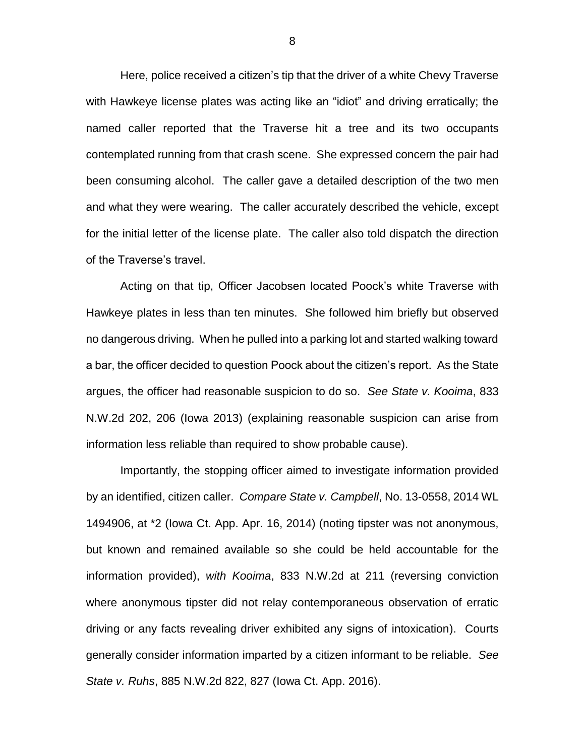Here, police received a citizen's tip that the driver of a white Chevy Traverse with Hawkeye license plates was acting like an "idiot" and driving erratically; the named caller reported that the Traverse hit a tree and its two occupants contemplated running from that crash scene. She expressed concern the pair had been consuming alcohol. The caller gave a detailed description of the two men and what they were wearing. The caller accurately described the vehicle, except for the initial letter of the license plate. The caller also told dispatch the direction of the Traverse's travel.

Acting on that tip, Officer Jacobsen located Poock's white Traverse with Hawkeye plates in less than ten minutes. She followed him briefly but observed no dangerous driving. When he pulled into a parking lot and started walking toward a bar, the officer decided to question Poock about the citizen's report. As the State argues, the officer had reasonable suspicion to do so. *See State v. Kooima*, 833 N.W.2d 202, 206 (Iowa 2013) (explaining reasonable suspicion can arise from information less reliable than required to show probable cause).

Importantly, the stopping officer aimed to investigate information provided by an identified, citizen caller. *Compare State v. Campbell*, No. 13-0558, 2014 WL 1494906, at \*2 (Iowa Ct. App. Apr. 16, 2014) (noting tipster was not anonymous, but known and remained available so she could be held accountable for the information provided), *with Kooima*, 833 N.W.2d at 211 (reversing conviction where anonymous tipster did not relay contemporaneous observation of erratic driving or any facts revealing driver exhibited any signs of intoxication). Courts generally consider information imparted by a citizen informant to be reliable. *See State v. Ruhs*, 885 N.W.2d 822, 827 (Iowa Ct. App. 2016).